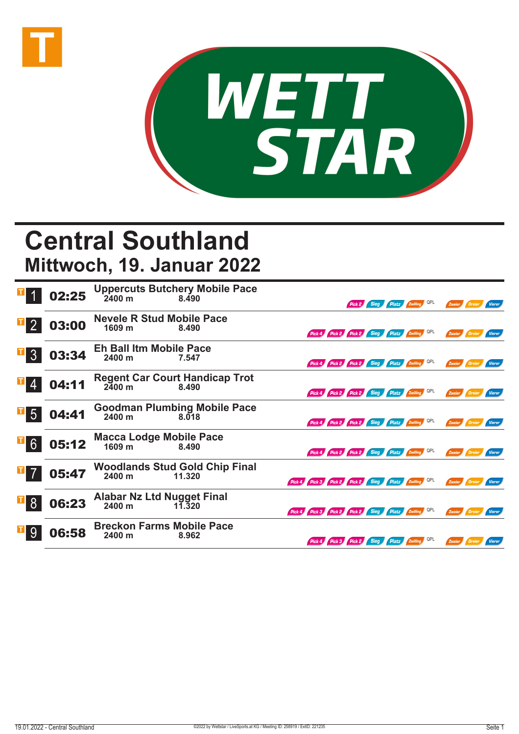



## **Central Southland Mittwoch, 19. Januar 2022**

|                 | 02:25 | <b>Uppercuts Butchery Mobile Pace</b><br>$2400 \text{ m}$<br>8.490 | <b>Platz Zwilling QPL</b><br>Sieg<br>Pick 2<br>Zweier<br><b>Vierer</b><br>/ Dreier  |
|-----------------|-------|--------------------------------------------------------------------|-------------------------------------------------------------------------------------|
| $\overline{2}$  | 03:00 | <b>Nevele R Stud Mobile Pace</b><br>1609 <sub>m</sub><br>8.490     | Pick 4 Pick 2 Pick 2 Sieg Platz Ewilling QPL<br>Zweier Dreier<br><b>Vierer</b>      |
| $\overline{3}$  | 03:34 | <b>Eh Ball Itm Mobile Pace</b><br>2400 m<br>7.547                  | Pick 4 Pick 2 Pick 2 Sieg Platz Zwilling QPL<br>Zweier Dreier<br>Vierer             |
|                 | 04:11 | <b>Regent Car Court Handicap Trot</b><br>$2400 \; m$<br>8.490      | Pick 4 Pick 2 Pick 2 Sieg Platz Zwilling QPL<br>Zweier<br>Dreier<br>Vierer          |
| $5\overline{)}$ | 04:41 | <b>Goodman Plumbing Mobile Pace</b><br>2400 m<br>8.018             | Pick 4 Pick 2 Pick 2 Sieg Platz Zwilling QPL<br>Zweier<br>Dreier<br><b>Vierer</b>   |
| 6               | 05:12 | <b>Macca Lodge Mobile Pace</b><br>1609 m<br>8.490                  | Pick 4 Pick 2 Pick 2 Sieg Platz Zwilling QPL<br>Zweier Dreier<br>Vierer             |
|                 | 05:47 | <b>Woodlands Stud Gold Chip Final</b><br>2400 m<br>11.320          | Pick 4 Pick 3 Pick 2 Pick 2 Sieg Platz Zwilling QPL<br>Zweier Dreier<br>Vierer      |
| 8               | 06:23 | <b>Alabar Nz Ltd Nugget Final</b><br>2400 m<br>11.320              | Pick 4 Pick 3 Pick 2 Pick 2 Sieg Platz Ewilling QPL<br>Zweier<br>Vierer<br>/ Dreier |
| 9               | 06:58 | <b>Breckon Farms Mobile Pace</b><br>2400 m<br>8.962                | QPL<br>Pick 4 Pick 3 Pick 2 Sieg Platz Zwilling<br>Dreier<br>Zweier<br>Vierer       |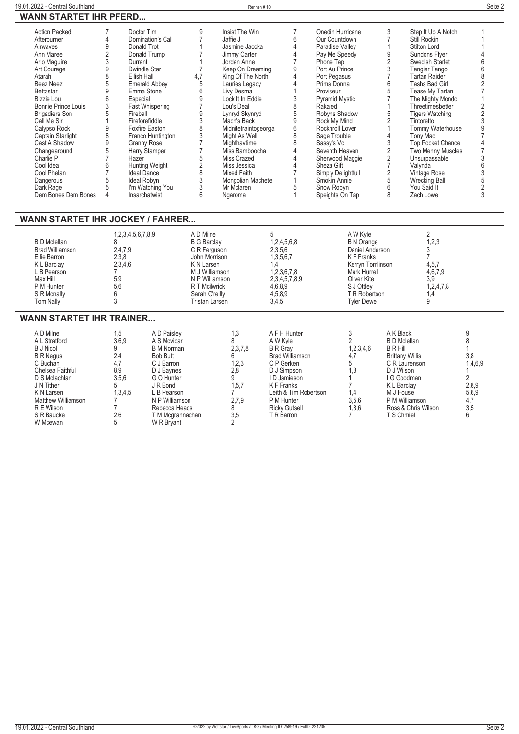| <b>Action Packed</b>       | Doctor Tim           | q   | Insist The Win       |   | Onedin Hurricane      | 3  | Step It Up A Notch       |  |
|----------------------------|----------------------|-----|----------------------|---|-----------------------|----|--------------------------|--|
| Afterburner                | Domination's Call    |     | Jaffie J             |   | Our Countdown         |    | Still Rockin             |  |
| Airwaves                   | Donald Trot          |     | Jasmine Jaccka       |   | Paradise Valley       |    | Stilton Lord             |  |
| Ann Maree                  | Donald Trump         |     | Jimmy Carter         |   | Pay Me Speedy         |    | Sundons Flyer            |  |
| Arlo Maguire               | Durrant              |     | Jordan Anne          |   | Phone Tap             |    | Swedish Starlet          |  |
| Art Courage                | Dwindle Star         |     | Keep On Dreaming     |   | Port Au Prince        |    | Tangier Tango            |  |
| Atarah                     | Eilish Hall          | 4,7 | King Of The North    |   | Port Pegasus          |    | Tartan Raider            |  |
| <b>Beez Neez</b>           | <b>Emerald Abbey</b> |     | Lauries Legacy       |   | Prima Donna           | h  | Tashs Bad Girl           |  |
| Bettastar                  | Emma Stone           |     | Livy Desma           |   | Proviseur             |    | Tease My Tartan          |  |
| Bizzie Lou                 | Especial             |     | Lock It In Eddie     |   | <b>Pyramid Mystic</b> |    | The Mighty Mondo         |  |
| <b>Bonnie Prince Louis</b> | Fast Whispering      |     | Lou's Deal           |   | Rakajed               |    | Threetimesbetter         |  |
| <b>Brigadiers Son</b>      | Fireball             |     | Lynryd Skynryd       |   | Robyns Shadow         | .5 | <b>Tigers Watching</b>   |  |
| Call Me Sir                | Fireforefiddle       |     | Mach's Back          |   | Rock My Mind          |    | Tintoretto               |  |
| Calypso Rock               | Foxfire Easton       |     | Midnitetraintogeorga |   | Rocknroll Lover       |    | Tommy Waterhouse         |  |
| Captain Starlight          | Franco Huntington    |     | Might As Well        | 8 | Sage Trouble          |    | Tony Mac                 |  |
| Cast A Shadow              | Granny Rose          |     | Mighthavtime         |   | Sassy's Vc            |    | <b>Top Pocket Chance</b> |  |
| Changearound               | Harry Stamper        |     | Miss Bamboocha       |   | Seventh Heaven        |    | <b>Two Menny Muscles</b> |  |
| Charlie P                  | Hazer                |     | Miss Crazed          |   | Sherwood Maggie       |    | Unsurpassable            |  |
| Cool Idea                  | Hunting Weight       |     | Miss Jessica         |   | Sheza Gift            |    | Valynda                  |  |
| Cool Phelan                | <b>Ideal Dance</b>   |     | Mixed Faith          |   | Simply Delightfull    |    | Vintage Rose             |  |
| Dangerous                  | Ideal Robyn          |     | Mongolian Machete    |   | Smokin Annie          |    | Wrecking Ball            |  |
| Dark Rage                  | I'm Watching You     |     | Mr Mclaren           |   | Snow Robyn            | h  | You Said It              |  |
| Dem Bones Dem Bones        | Insarchatwist        |     | Ngaroma              |   | Speights On Tap       |    | Zach Lowe                |  |
|                            |                      |     |                      |   |                       |    |                          |  |

## **WANN STARTET IHR JOCKEY / FAHRER...**

| <b>Tyler Dewe</b><br><b>Tom Nally</b><br>Tristan Larsen<br>3,4,5 | B D Mclellan<br><b>Brad Williamson</b><br>Ellie Barron<br>K L Barclay<br>L B Pearson<br>Max Hill<br>P M Hunter<br>S R Mcnally | 1,2,3,4,5,6,7,8,9<br>2,4,7,9<br>2,3,8<br>2,3,4,6<br>5,9<br>5,6 | A D Milne<br><b>B G Barclay</b><br>C R Ferguson<br>John Morrison<br>K N Larsen<br>M J Williamson<br>N P Williamson<br>R T Mcilwrick<br>Sarah O'reilly | 1,2,4,5,6,8<br>2,3,5,6<br>1,3,5,6,7<br>1,2,3,6,7,8<br>2,3,4,5,7,8,9<br>4,6,8,9<br>4,5,8,9 | A W Kyle<br><b>B N Orange</b><br>Daniel Anderson<br>K F Franks<br>Kerryn Tomlinson<br>Mark Hurrell<br>Oliver Kite<br>S J Ottlev<br>T R Robertson | 1,2,3<br>4,5,7<br>4,6,7,9<br>3,9<br>1,2,4,7,8<br>. 4، |  |
|------------------------------------------------------------------|-------------------------------------------------------------------------------------------------------------------------------|----------------------------------------------------------------|-------------------------------------------------------------------------------------------------------------------------------------------------------|-------------------------------------------------------------------------------------------|--------------------------------------------------------------------------------------------------------------------------------------------------|-------------------------------------------------------|--|
|------------------------------------------------------------------|-------------------------------------------------------------------------------------------------------------------------------|----------------------------------------------------------------|-------------------------------------------------------------------------------------------------------------------------------------------------------|-------------------------------------------------------------------------------------------|--------------------------------------------------------------------------------------------------------------------------------------------------|-------------------------------------------------------|--|

## **WANN STARTET IHR TRAINER...**

| A D Milne<br>1,5<br>3,6,9<br>A L Stratford<br><b>B</b> J Nicol<br>2,4<br><b>B R Negus</b><br>4,7<br>C Buchan<br>8.9<br>Chelsea Faithful<br>3,5,6<br>D S Mclachlan<br>J N Tither<br>K N Larsen<br><b>Matthew Williamson</b><br>R E Wilson<br>2,6<br>S R Baucke<br>W Mcewan | A D Paisley<br>A S Mcvicar<br><b>B</b> M Norman<br>Bob Butt<br>C J Barron<br>D J Baynes<br>G O Hunter<br>J R Bond<br>1,3,4,5<br>L B Pearson<br>N P Williamson<br>Rebecca Heads<br>T M Mcgrannachan<br>W R Brvant | 1.3<br>2,3,7,8<br>1,2,3<br>2,8<br>1, 5, 7<br>2,7,9<br>3,5 | A F H Hunter<br>A W Kyle<br><b>B</b> R Grav<br><b>Brad Williamson</b><br>C P Gerken<br>D J Simpson<br>I D Jamieson<br>K F Franks<br>Leith & Tim Robertson<br>P M Hunter<br><b>Ricky Gutsell</b><br>T R Barron | 1,2,3,4,6<br>4.7<br>1.8<br>1.4<br>3,5,6<br>1,3,6 | A K Black<br><b>B</b> D Mclellan<br>B R Hill<br><b>Brittany Willis</b><br>C R Laurenson<br>D J Wilson<br>I G Goodman<br>K L Barclay<br>M J House<br>P M Williamson<br>Ross & Chris Wilson<br>T S Chmiel | 3,8<br>1,4,6,9<br>2,8,9<br>5,6,9<br>4,7<br>3,5 |  |
|---------------------------------------------------------------------------------------------------------------------------------------------------------------------------------------------------------------------------------------------------------------------------|------------------------------------------------------------------------------------------------------------------------------------------------------------------------------------------------------------------|-----------------------------------------------------------|---------------------------------------------------------------------------------------------------------------------------------------------------------------------------------------------------------------|--------------------------------------------------|---------------------------------------------------------------------------------------------------------------------------------------------------------------------------------------------------------|------------------------------------------------|--|
|---------------------------------------------------------------------------------------------------------------------------------------------------------------------------------------------------------------------------------------------------------------------------|------------------------------------------------------------------------------------------------------------------------------------------------------------------------------------------------------------------|-----------------------------------------------------------|---------------------------------------------------------------------------------------------------------------------------------------------------------------------------------------------------------------|--------------------------------------------------|---------------------------------------------------------------------------------------------------------------------------------------------------------------------------------------------------------|------------------------------------------------|--|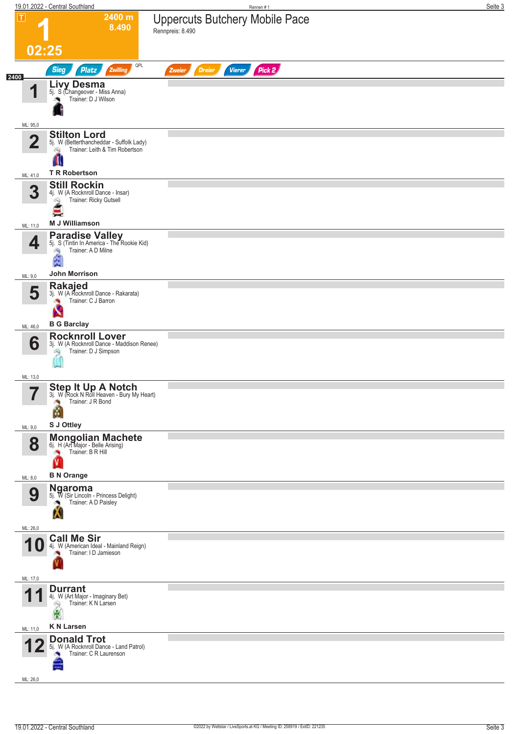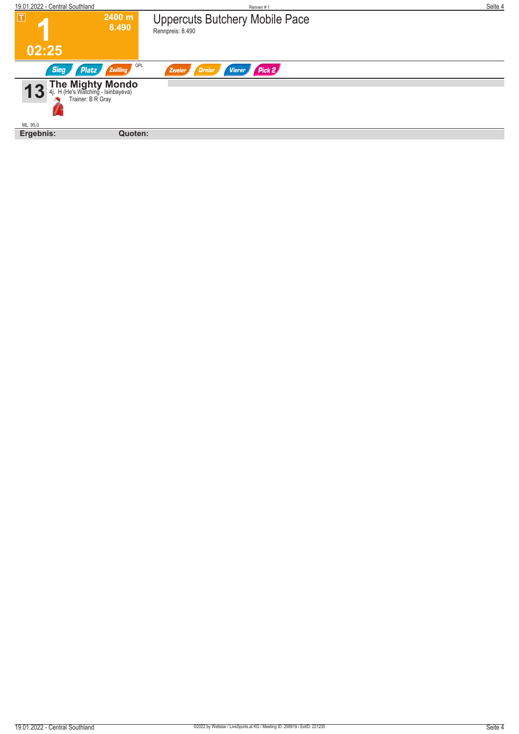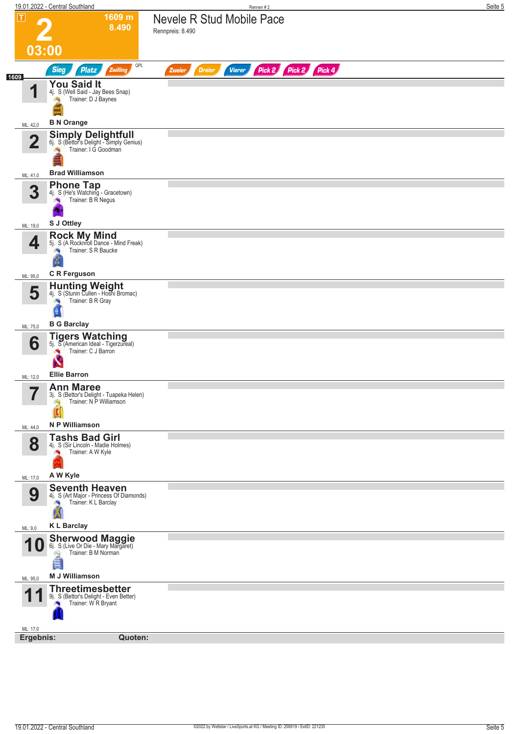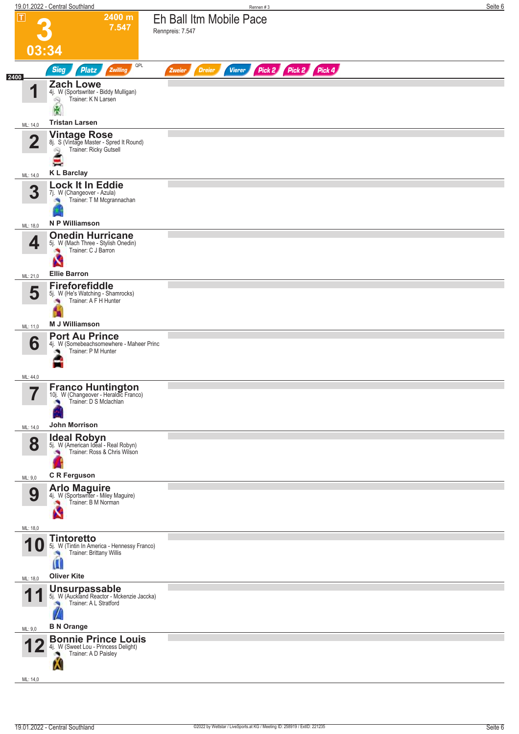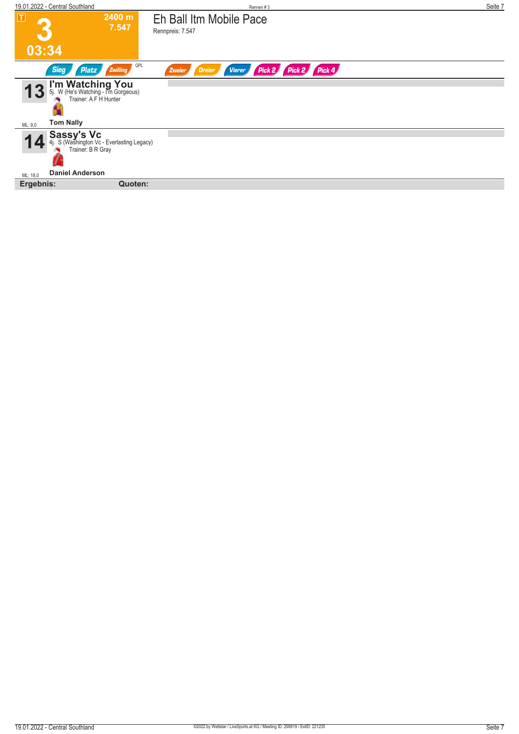| 19.01.2022 - Central Southland                                                                 | Rennen#3                                                         | Seite 7 |
|------------------------------------------------------------------------------------------------|------------------------------------------------------------------|---------|
| T <br>2400 m                                                                                   | Eh Ball Itm Mobile Pace                                          |         |
| 7.547                                                                                          | Rennpreis: 7.547                                                 |         |
| 03:34                                                                                          |                                                                  |         |
| QPL<br>Zwilling<br><b>Sieg</b><br><b>Platz</b>                                                 | Pick 2 Pick 2 Pick 4<br>Zweier<br><b>Dreier</b><br><b>Vierer</b> |         |
| <b>I'm Watching You</b><br>5j. W (He's Watching - I'm Gorgeous)<br>Trainer: A F H Hunter<br>13 |                                                                  |         |
| <b>Tom Nally</b><br>ML: 9,0                                                                    |                                                                  |         |
| <b>Sassy's Vc</b><br>4. S (Washington Vc - Everlasting Legacy)<br>Trainer: B R Gray            |                                                                  |         |
| <b>Daniel Anderson</b><br>ML: 18,0                                                             |                                                                  |         |
| Ergebnis:<br>Quoten:                                                                           |                                                                  |         |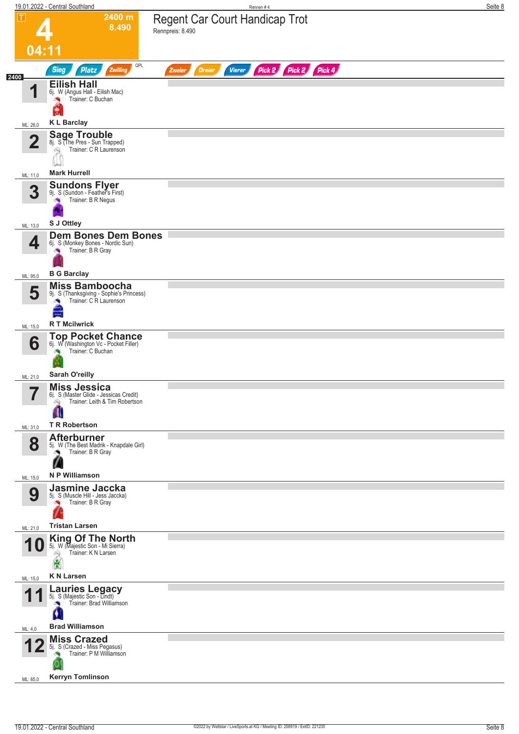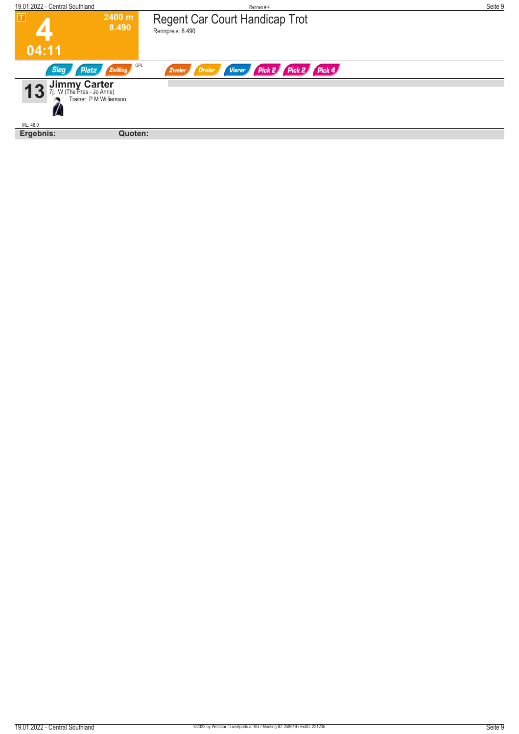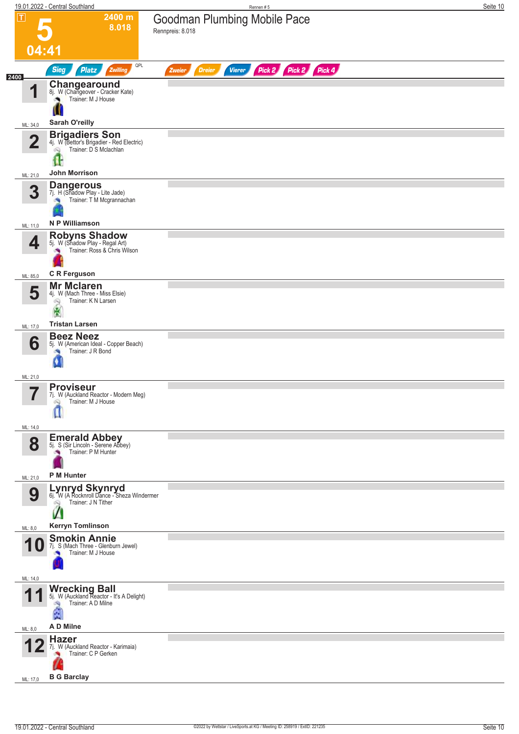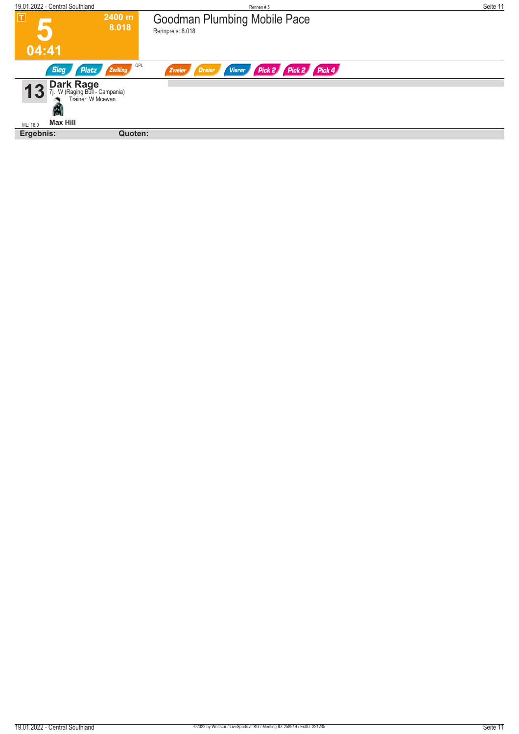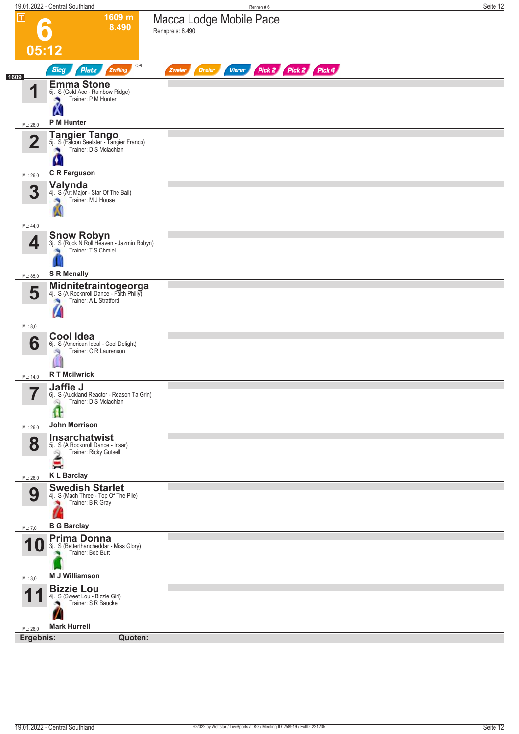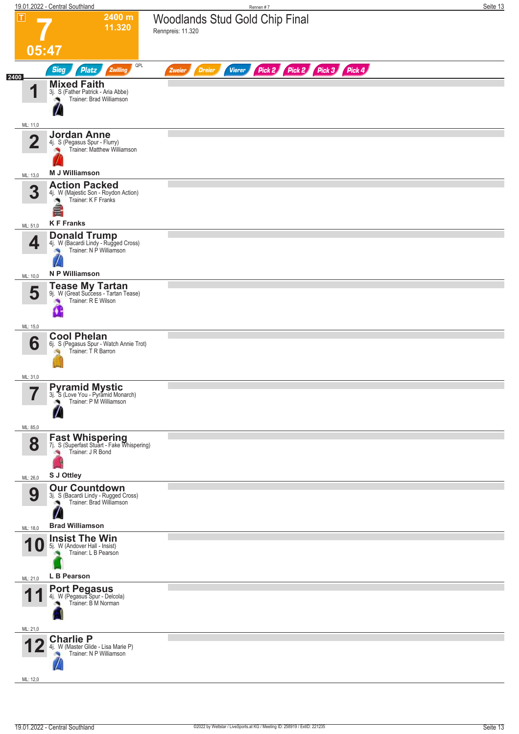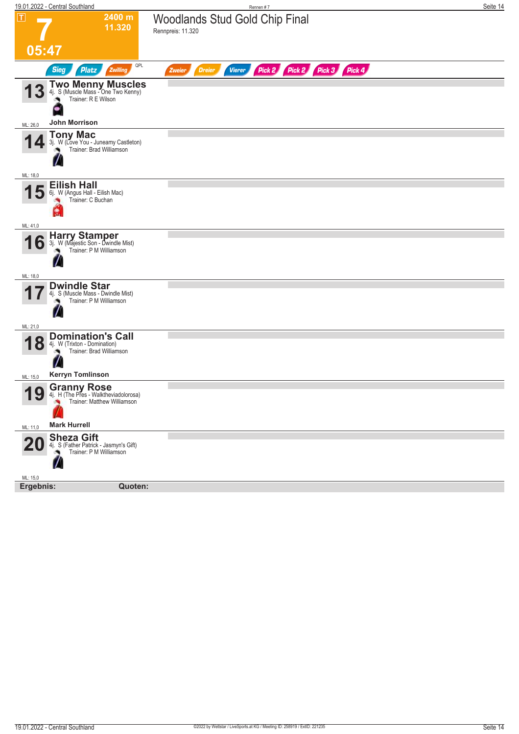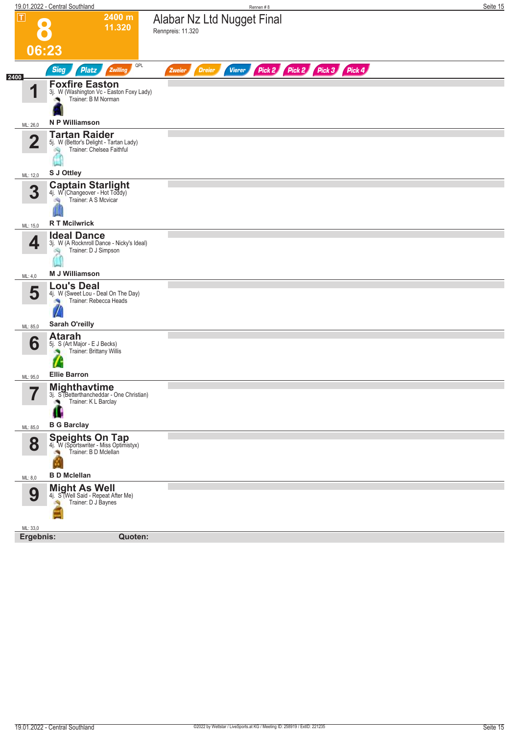|                   | 19.01.2022 - Central Southland                                                                                     | Rennen#8                                                                   | Seite 15 |
|-------------------|--------------------------------------------------------------------------------------------------------------------|----------------------------------------------------------------------------|----------|
| π                 | 2400 m<br>11.320                                                                                                   | Alabar Nz Ltd Nugget Final<br>Rennpreis: 11.320                            |          |
|                   | 06:23                                                                                                              |                                                                            |          |
| 2400              | QPL<br><b>Sieg</b><br>Zwilling<br><b>Platz</b>                                                                     | Pick 2 Pick 2<br>Pick 3 Pick 4<br><b>Dreier</b><br><b>Vierer</b><br>Zweier |          |
| 1                 | <b>Foxfire Easton</b><br>3j. W (Washington Vc - Easton Foxy Lady)<br>Trainer: B M Norman<br>۰                      |                                                                            |          |
| ML: 26,0          | <b>N P Williamson</b>                                                                                              |                                                                            |          |
| $\overline{2}$    | <b>Tartan Raider</b><br>5j. W (Bettor's Delight - Tartan Lady)<br>Trainer: Chelsea Faithful                        |                                                                            |          |
| ML: 12,0          | S J Ottley                                                                                                         |                                                                            |          |
| 3                 | <b>Captain Starlight</b> 4j. W (Changeover - Hot Toddy)<br>Trainer: A S Mcvicar                                    |                                                                            |          |
| ML: 15,0          | <b>R T Mcilwrick</b>                                                                                               |                                                                            |          |
| 4                 | <b>Ideal Dance</b><br>3j. W (A Rocknroll Dance - Nicky's Ideal)<br>Trainer: D J Simpson                            |                                                                            |          |
| ML: 4,0           | <b>M J Williamson</b>                                                                                              |                                                                            |          |
| 5<br>ML: 85,0     | <b>Lou's Deal</b><br>4j. W (Sweet Lou - Deal On The Day)<br>Trainer: Rebecca Heads<br>$\sqrt{ }$<br>Sarah O'reilly |                                                                            |          |
|                   | <b>Atarah</b>                                                                                                      |                                                                            |          |
| 6                 | 5j. S (Art Major - E J Becks)<br>Trainer: Brittany Willis<br>ľ                                                     |                                                                            |          |
| ML: 95,0          | <b>Ellie Barron</b>                                                                                                |                                                                            |          |
| 5<br>$\mathbf{r}$ | <b>Mighthavtime</b><br>3j. S (Betterthancheddar - One Christian)<br>Trainer: K L Barclay                           |                                                                            |          |
| ML: 85,0          | <b>B G Barclay</b>                                                                                                 |                                                                            |          |
| 8                 | <b>Speights On Tap</b><br>4j. W (Sportswriter - Miss Optimistyx)<br>Trainer: B D Mclellan                          |                                                                            |          |
| ML: 8,0           | <b>B D Mclellan</b>                                                                                                |                                                                            |          |
| 9                 | <b>Might As Well</b><br>4j. S (Well Said - Repeat After Me)<br>Trainer: D J Baynes                                 |                                                                            |          |
| ML: 33,0          | Ergebnis:<br>Quoten:                                                                                               |                                                                            |          |